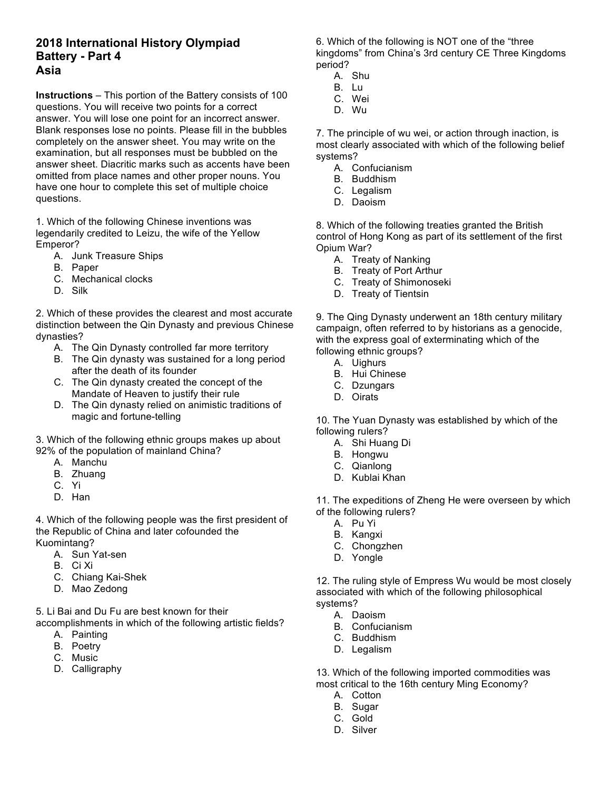## **2018 International History Olympiad Battery - Part 4 Asia**

**Instructions** – This portion of the Battery consists of 100 questions. You will receive two points for a correct answer. You will lose one point for an incorrect answer. Blank responses lose no points. Please fill in the bubbles completely on the answer sheet. You may write on the examination, but all responses must be bubbled on the answer sheet. Diacritic marks such as accents have been omitted from place names and other proper nouns. You have one hour to complete this set of multiple choice questions.

1. Which of the following Chinese inventions was legendarily credited to Leizu, the wife of the Yellow Emperor?

- A. Junk Treasure Ships
- B. Paper
- C. Mechanical clocks
- D. Silk

2. Which of these provides the clearest and most accurate distinction between the Qin Dynasty and previous Chinese dynasties?

- A. The Qin Dynasty controlled far more territory
- B. The Qin dynasty was sustained for a long period after the death of its founder
- C. The Qin dynasty created the concept of the Mandate of Heaven to justify their rule
- D. The Qin dynasty relied on animistic traditions of magic and fortune-telling

3. Which of the following ethnic groups makes up about 92% of the population of mainland China?

- A. Manchu
- B. Zhuang
- C. Yi
- D. Han

4. Which of the following people was the first president of the Republic of China and later cofounded the Kuomintang?

- A. Sun Yat-sen
- B. Ci Xi
- C. Chiang Kai-Shek
- D. Mao Zedong

5. Li Bai and Du Fu are best known for their

accomplishments in which of the following artistic fields?

- A. Painting
- B. Poetry
- C. Music
- D. Calligraphy

6. Which of the following is NOT one of the "three kingdoms" from China's 3rd century CE Three Kingdoms period?

- A. Shu
- B. Lu
- C. Wei D. Wu
- 

7. The principle of wu wei, or action through inaction, is most clearly associated with which of the following belief systems?

- A. Confucianism
- B. Buddhism
- C. Legalism
- D. Daoism

8. Which of the following treaties granted the British control of Hong Kong as part of its settlement of the first Opium War?

- A. Treaty of Nanking
- B. Treaty of Port Arthur
- C. Treaty of Shimonoseki
- D. Treaty of Tientsin

9. The Qing Dynasty underwent an 18th century military campaign, often referred to by historians as a genocide, with the express goal of exterminating which of the following ethnic groups?

- A. Uighurs
- B. Hui Chinese
- C. Dzungars
- D. Oirats

10. The Yuan Dynasty was established by which of the following rulers?

- A. Shi Huang Di
- B. Hongwu
- C. Qianlong
- D. Kublai Khan

11. The expeditions of Zheng He were overseen by which of the following rulers?

- A. Pu Yi
- B. Kangxi
- C. Chongzhen
- D. Yongle

12. The ruling style of Empress Wu would be most closely associated with which of the following philosophical systems?

- A. Daoism
- B. Confucianism
- C. Buddhism
- D. Legalism

13. Which of the following imported commodities was most critical to the 16th century Ming Economy?

- A. Cotton
- B. Sugar
- C. Gold
- D. Silver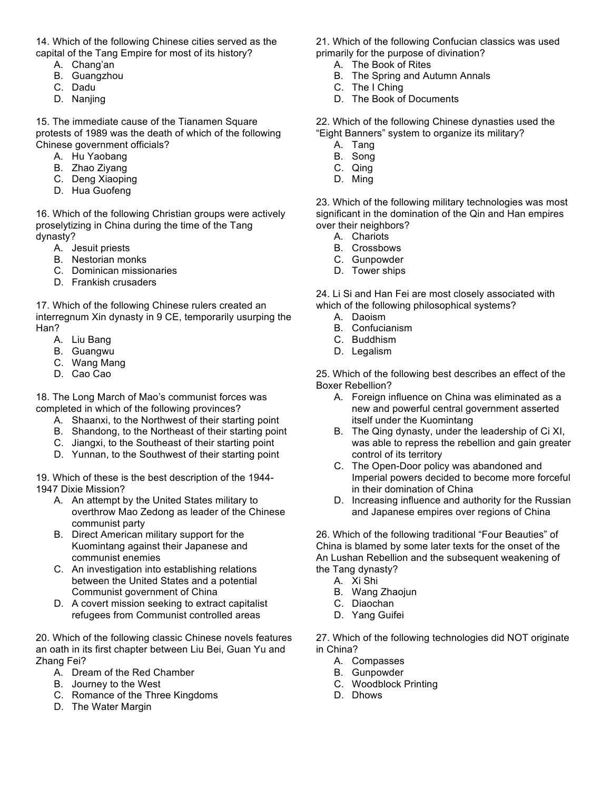14. Which of the following Chinese cities served as the capital of the Tang Empire for most of its history?

- A. Chang'an
- B. Guangzhou
- C. Dadu
- D. Nanjing

15. The immediate cause of the Tianamen Square protests of 1989 was the death of which of the following Chinese government officials?

- A. Hu Yaobang
- B. Zhao Ziyang
- C. Deng Xiaoping
- D. Hua Guofeng

16. Which of the following Christian groups were actively proselytizing in China during the time of the Tang dynasty?

- A. Jesuit priests
- B. Nestorian monks
- C. Dominican missionaries
- D. Frankish crusaders

17. Which of the following Chinese rulers created an interregnum Xin dynasty in 9 CE, temporarily usurping the Han?

- A. Liu Bang
- B. Guangwu
- C. Wang Mang
- D. Cao Cao

18. The Long March of Mao's communist forces was completed in which of the following provinces?

- A. Shaanxi, to the Northwest of their starting point
- B. Shandong, to the Northeast of their starting point
- C. Jiangxi, to the Southeast of their starting point
- D. Yunnan, to the Southwest of their starting point

19. Which of these is the best description of the 1944- 1947 Dixie Mission?

- A. An attempt by the United States military to overthrow Mao Zedong as leader of the Chinese communist party
- B. Direct American military support for the Kuomintang against their Japanese and communist enemies
- C. An investigation into establishing relations between the United States and a potential Communist government of China
- D. A covert mission seeking to extract capitalist refugees from Communist controlled areas

20. Which of the following classic Chinese novels features an oath in its first chapter between Liu Bei, Guan Yu and Zhang Fei?

- A. Dream of the Red Chamber
- B. Journey to the West
- C. Romance of the Three Kingdoms
- D. The Water Margin

21. Which of the following Confucian classics was used primarily for the purpose of divination?

- A. The Book of Rites
- B. The Spring and Autumn Annals
- C. The I Ching
- D. The Book of Documents

22. Which of the following Chinese dynasties used the "Eight Banners" system to organize its military?

- A. Tang
- B. Song
- C. Qing
- D. Ming

23. Which of the following military technologies was most significant in the domination of the Qin and Han empires over their neighbors?

- A. Chariots
- B. Crossbows
- C. Gunpowder
- D. Tower ships

24. Li Si and Han Fei are most closely associated with which of the following philosophical systems?

- A. Daoism
- B. Confucianism
- C. Buddhism
- D. Legalism

25. Which of the following best describes an effect of the Boxer Rebellion?

- A. Foreign influence on China was eliminated as a new and powerful central government asserted itself under the Kuomintang
- B. The Qing dynasty, under the leadership of Ci XI, was able to repress the rebellion and gain greater control of its territory
- C. The Open-Door policy was abandoned and Imperial powers decided to become more forceful in their domination of China
- D. Increasing influence and authority for the Russian and Japanese empires over regions of China

26. Which of the following traditional "Four Beauties" of China is blamed by some later texts for the onset of the An Lushan Rebellion and the subsequent weakening of the Tang dynasty?

- A. Xi Shi
- B. Wang Zhaojun
- C. Diaochan
- D. Yang Guifei

27. Which of the following technologies did NOT originate in China?

- A. Compasses
- B. Gunpowder
- C. Woodblock Printing
- D. Dhows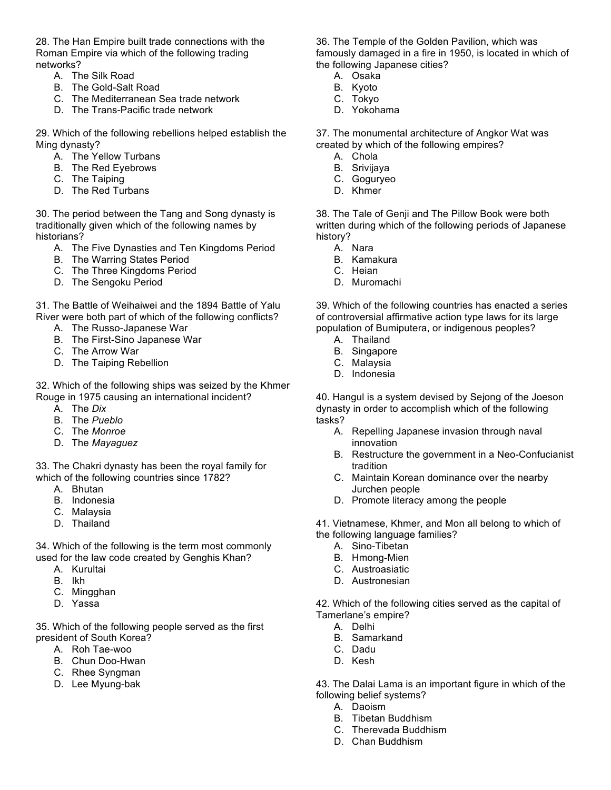28. The Han Empire built trade connections with the Roman Empire via which of the following trading networks?

- A. The Silk Road
- B. The Gold-Salt Road
- C. The Mediterranean Sea trade network
- D. The Trans-Pacific trade network

29. Which of the following rebellions helped establish the Ming dynasty?

- A. The Yellow Turbans
- B. The Red Eyebrows
- C. The Taiping
- D. The Red Turbans

30. The period between the Tang and Song dynasty is traditionally given which of the following names by historians?

- A. The Five Dynasties and Ten Kingdoms Period
- B. The Warring States Period
- C. The Three Kingdoms Period
- D. The Sengoku Period

31. The Battle of Weihaiwei and the 1894 Battle of Yalu River were both part of which of the following conflicts?

- A. The Russo-Japanese War
- B. The First-Sino Japanese War
- C. The Arrow War
- D. The Taiping Rebellion

32. Which of the following ships was seized by the Khmer Rouge in 1975 causing an international incident?

- A. The *Dix*
- B. The *Pueblo*
- C. The *Monroe*
- D. The *Mayaguez*

33. The Chakri dynasty has been the royal family for which of the following countries since 1782?

- A. Bhutan
- B. Indonesia
- C. Malaysia
- D. Thailand

34. Which of the following is the term most commonly used for the law code created by Genghis Khan?

- A. Kurultai
- B. Ikh
- C. Mingghan
- D. Yassa

35. Which of the following people served as the first president of South Korea?

- A. Roh Tae-woo
- B. Chun Doo-Hwan
- C. Rhee Syngman
- D. Lee Myung-bak

36. The Temple of the Golden Pavilion, which was famously damaged in a fire in 1950, is located in which of the following Japanese cities?

- A. Osaka
- B. Kyoto
- C. Tokyo
- D. Yokohama

37. The monumental architecture of Angkor Wat was created by which of the following empires?

- A. Chola
- B. Srivijaya
- C. Goguryeo
- D. Khmer

38. The Tale of Genji and The Pillow Book were both written during which of the following periods of Japanese history?

- A. Nara
- B. Kamakura
- C. Heian
- D. Muromachi

39. Which of the following countries has enacted a series of controversial affirmative action type laws for its large population of Bumiputera, or indigenous peoples?

- A. Thailand
- B. Singapore
- C. Malaysia
- D. Indonesia

40. Hangul is a system devised by Sejong of the Joeson dynasty in order to accomplish which of the following tasks?

- A. Repelling Japanese invasion through naval innovation
- B. Restructure the government in a Neo-Confucianist tradition
- C. Maintain Korean dominance over the nearby Jurchen people
- D. Promote literacy among the people

41. Vietnamese, Khmer, and Mon all belong to which of the following language families?

- A. Sino-Tibetan
- B. Hmong-Mien
- C. Austroasiatic
- D. Austronesian

42. Which of the following cities served as the capital of Tamerlane's empire?

- A. Delhi
- B. Samarkand
- C. Dadu
- D. Kesh
- 43. The Dalai Lama is an important figure in which of the following belief systems?
	- A. Daoism
	- B. Tibetan Buddhism
	- C. Therevada Buddhism
	- D. Chan Buddhism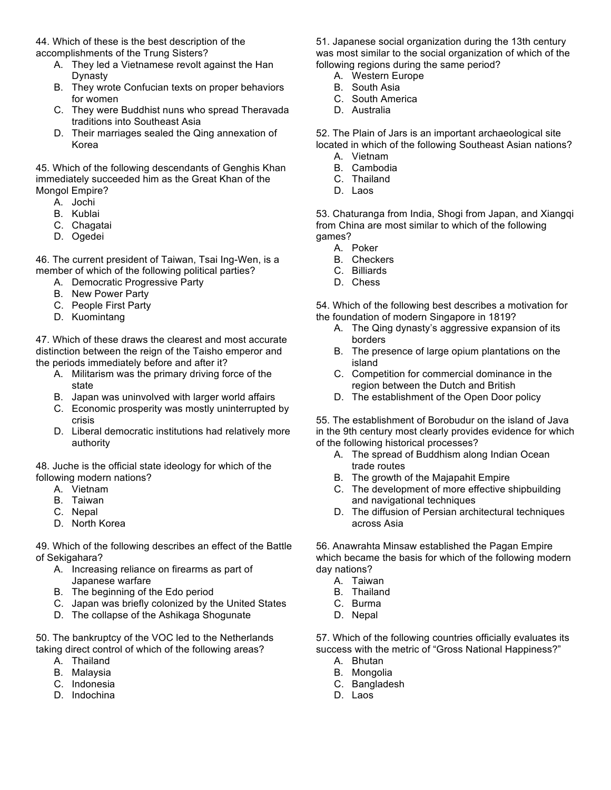44. Which of these is the best description of the accomplishments of the Trung Sisters?

- A. They led a Vietnamese revolt against the Han Dynasty
- B. They wrote Confucian texts on proper behaviors for women
- C. They were Buddhist nuns who spread Theravada traditions into Southeast Asia
- D. Their marriages sealed the Qing annexation of Korea

45. Which of the following descendants of Genghis Khan immediately succeeded him as the Great Khan of the Mongol Empire?

- A. Jochi
- B. Kublai
- C. Chagatai
- D. Ogedei

46. The current president of Taiwan, Tsai Ing-Wen, is a member of which of the following political parties?

- A. Democratic Progressive Party
- B. New Power Party
- C. People First Party
- D. Kuomintang

47. Which of these draws the clearest and most accurate distinction between the reign of the Taisho emperor and the periods immediately before and after it?

- A. Militarism was the primary driving force of the state
- B. Japan was uninvolved with larger world affairs
- C. Economic prosperity was mostly uninterrupted by crisis
- D. Liberal democratic institutions had relatively more authority

48. Juche is the official state ideology for which of the following modern nations?

- A. Vietnam
- B. Taiwan
- C. Nepal
- D. North Korea

49. Which of the following describes an effect of the Battle of Sekigahara?

- A. Increasing reliance on firearms as part of Japanese warfare
- B. The beginning of the Edo period
- C. Japan was briefly colonized by the United States
- D. The collapse of the Ashikaga Shogunate

50. The bankruptcy of the VOC led to the Netherlands taking direct control of which of the following areas?

- A. Thailand
- B. Malaysia
- C. Indonesia
- D. Indochina

51. Japanese social organization during the 13th century was most similar to the social organization of which of the following regions during the same period?

- A. Western Europe
- B. South Asia
- C. South America
- D. Australia

52. The Plain of Jars is an important archaeological site located in which of the following Southeast Asian nations?

- A. Vietnam
- B. Cambodia
- C. Thailand
- D. Laos

53. Chaturanga from India, Shogi from Japan, and Xiangqi from China are most similar to which of the following games?

- A. Poker
- B. Checkers
- C. Billiards
- D. Chess

54. Which of the following best describes a motivation for the foundation of modern Singapore in 1819?

- A. The Qing dynasty's aggressive expansion of its borders
- B. The presence of large opium plantations on the island
- C. Competition for commercial dominance in the region between the Dutch and British
- D. The establishment of the Open Door policy

55. The establishment of Borobudur on the island of Java in the 9th century most clearly provides evidence for which of the following historical processes?

- A. The spread of Buddhism along Indian Ocean trade routes
- B. The growth of the Majapahit Empire
- C. The development of more effective shipbuilding and navigational techniques
- D. The diffusion of Persian architectural techniques across Asia

56. Anawrahta Minsaw established the Pagan Empire which became the basis for which of the following modern day nations?

- A. Taiwan
- B. Thailand
- C. Burma
- D. Nepal

57. Which of the following countries officially evaluates its success with the metric of "Gross National Happiness?"

- A. Bhutan
- B. Mongolia
- C. Bangladesh
- D. Laos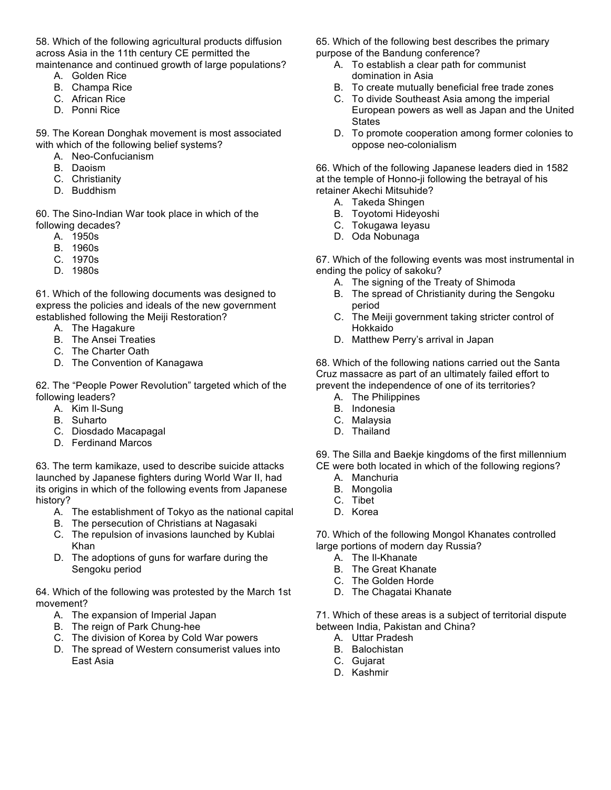58. Which of the following agricultural products diffusion across Asia in the 11th century CE permitted the maintenance and continued growth of large populations?

- A. Golden Rice
- B. Champa Rice
- C. African Rice
- D. Ponni Rice

59. The Korean Donghak movement is most associated with which of the following belief systems?

- A. Neo-Confucianism
- B. Daoism
- C. Christianity
- D. Buddhism

60. The Sino-Indian War took place in which of the following decades?

- A. 1950s
- B. 1960s
- C. 1970s
- D. 1980s

61. Which of the following documents was designed to express the policies and ideals of the new government established following the Meiji Restoration?

- A. The Hagakure
- B. The Ansei Treaties
- C. The Charter Oath
- D. The Convention of Kanagawa

62. The "People Power Revolution" targeted which of the following leaders?

- A. Kim Il-Sung
- B. Suharto
- C. Diosdado Macapagal
- D. Ferdinand Marcos

63. The term kamikaze, used to describe suicide attacks launched by Japanese fighters during World War II, had its origins in which of the following events from Japanese history?

- A. The establishment of Tokyo as the national capital
- B. The persecution of Christians at Nagasaki
- C. The repulsion of invasions launched by Kublai Khan
- D. The adoptions of guns for warfare during the Sengoku period

64. Which of the following was protested by the March 1st movement?

- A. The expansion of Imperial Japan
- B. The reign of Park Chung-hee
- C. The division of Korea by Cold War powers
- D. The spread of Western consumerist values into East Asia

65. Which of the following best describes the primary purpose of the Bandung conference?

- A. To establish a clear path for communist domination in Asia
- B. To create mutually beneficial free trade zones
- C. To divide Southeast Asia among the imperial European powers as well as Japan and the United **States**
- D. To promote cooperation among former colonies to oppose neo-colonialism

66. Which of the following Japanese leaders died in 1582 at the temple of Honno-ji following the betrayal of his retainer Akechi Mitsuhide?

- A. Takeda Shingen
- B. Toyotomi Hideyoshi
- C. Tokugawa Ieyasu
- D. Oda Nobunaga

67. Which of the following events was most instrumental in ending the policy of sakoku?

- A. The signing of the Treaty of Shimoda
- B. The spread of Christianity during the Sengoku period
- C. The Meiji government taking stricter control of Hokkaido
- D. Matthew Perry's arrival in Japan

68. Which of the following nations carried out the Santa Cruz massacre as part of an ultimately failed effort to prevent the independence of one of its territories?

- A. The Philippines
- B. Indonesia
- C. Malaysia
- D. Thailand
- 69. The Silla and Baekje kingdoms of the first millennium CE were both located in which of the following regions?
	- A. Manchuria
	- B. Mongolia
	- C. Tibet
	- D. Korea

70. Which of the following Mongol Khanates controlled large portions of modern day Russia?

- A. The Il-Khanate
- B. The Great Khanate
- C. The Golden Horde
- D. The Chagatai Khanate

71. Which of these areas is a subject of territorial dispute between India, Pakistan and China?

- A. Uttar Pradesh
- B. Balochistan
- C. Gujarat
- D. Kashmir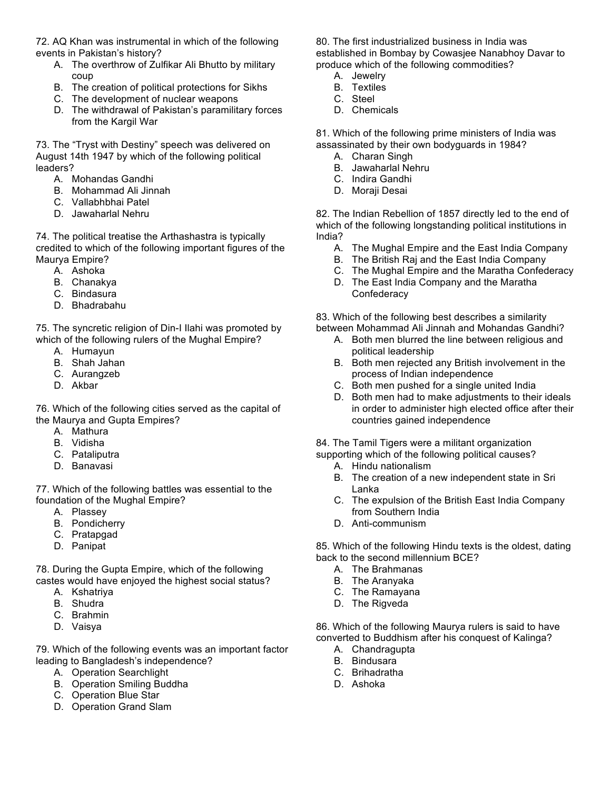72. AQ Khan was instrumental in which of the following events in Pakistan's history?

- A. The overthrow of Zulfikar Ali Bhutto by military coup
- B. The creation of political protections for Sikhs
- C. The development of nuclear weapons
- D. The withdrawal of Pakistan's paramilitary forces from the Kargil War

73. The "Tryst with Destiny" speech was delivered on August 14th 1947 by which of the following political leaders?

- A. Mohandas Gandhi
- B. Mohammad Ali Jinnah
- C. Vallabhbhai Patel
- D. Jawaharlal Nehru

74. The political treatise the Arthashastra is typically credited to which of the following important figures of the Maurya Empire?

- A. Ashoka
- B. Chanakya
- C. Bindasura
- D. Bhadrabahu

75. The syncretic religion of Din-I Ilahi was promoted by which of the following rulers of the Mughal Empire?

- A. Humayun
- B. Shah Jahan
- C. Aurangzeb
- D. Akbar

76. Which of the following cities served as the capital of the Maurya and Gupta Empires?

- A. Mathura
- B. Vidisha
- C. Pataliputra
- D. Banavasi

77. Which of the following battles was essential to the foundation of the Mughal Empire?

- A. Plassey
- B. Pondicherry
- C. Pratapgad
- D. Panipat

78. During the Gupta Empire, which of the following castes would have enjoyed the highest social status?

- A. Kshatriya
- B. Shudra
- C. Brahmin
- D. Vaisya

79. Which of the following events was an important factor leading to Bangladesh's independence?

- A. Operation Searchlight
- B. Operation Smiling Buddha
- C. Operation Blue Star
- D. Operation Grand Slam

80. The first industrialized business in India was established in Bombay by Cowasjee Nanabhoy Davar to produce which of the following commodities?

- A. Jewelry
- B. Textiles C. Steel
- D. Chemicals

81. Which of the following prime ministers of India was assassinated by their own bodyguards in 1984?

- A. Charan Singh
- B. Jawaharlal Nehru
- C. Indira Gandhi
- D. Moraji Desai

82. The Indian Rebellion of 1857 directly led to the end of which of the following longstanding political institutions in India?

- A. The Mughal Empire and the East India Company
- B. The British Raj and the East India Company
- C. The Mughal Empire and the Maratha Confederacy
- D. The East India Company and the Maratha **Confederacy**

83. Which of the following best describes a similarity

- between Mohammad Ali Jinnah and Mohandas Gandhi? A. Both men blurred the line between religious and
	- political leadership
	- B. Both men rejected any British involvement in the process of Indian independence
	- C. Both men pushed for a single united India
	- D. Both men had to make adjustments to their ideals in order to administer high elected office after their countries gained independence

84. The Tamil Tigers were a militant organization supporting which of the following political causes?

- A. Hindu nationalism
- B. The creation of a new independent state in Sri Lanka
- C. The expulsion of the British East India Company from Southern India
- D. Anti-communism

85. Which of the following Hindu texts is the oldest, dating back to the second millennium BCE?

- A. The Brahmanas
- B. The Aranyaka
- C. The Ramayana
- D. The Rigveda

86. Which of the following Maurya rulers is said to have converted to Buddhism after his conquest of Kalinga?

- A. Chandragupta
- B. Bindusara
- C. Brihadratha
- D. Ashoka